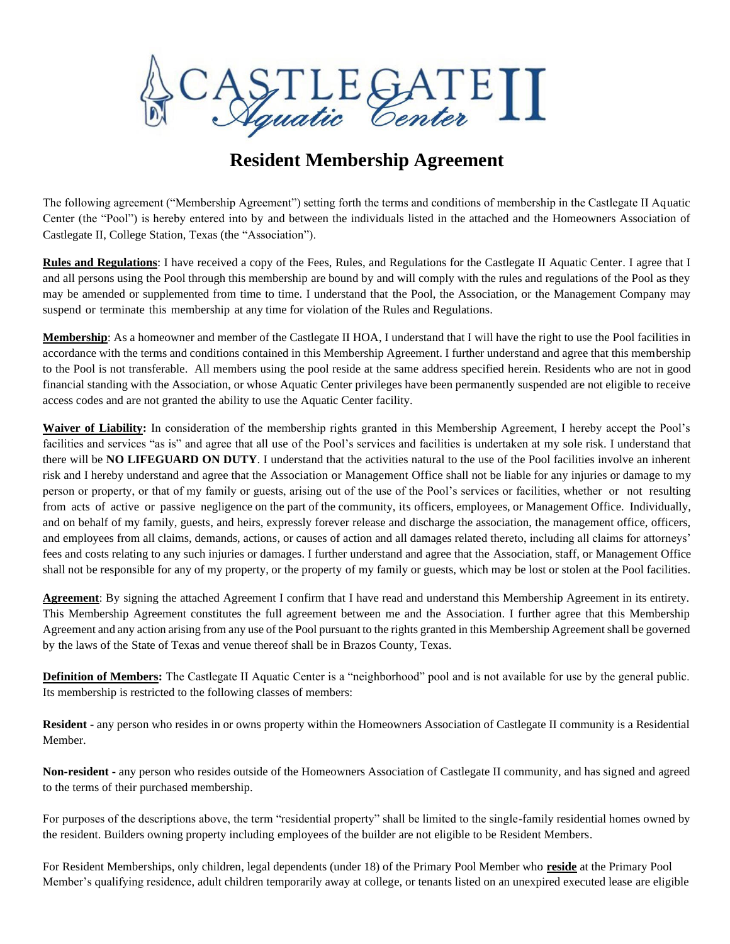

## **Resident Membership Agreement**

The following agreement ("Membership Agreement") setting forth the terms and conditions of membership in the Castlegate II Aquatic Center (the "Pool") is hereby entered into by and between the individuals listed in the attached and the Homeowners Association of Castlegate II, College Station, Texas (the "Association").

**Rules and Regulations**: I have received a copy of the Fees, Rules, and Regulations for the Castlegate II Aquatic Center. I agree that I and all persons using the Pool through this membership are bound by and will comply with the rules and regulations of the Pool as they may be amended or supplemented from time to time. I understand that the Pool, the Association, or the Management Company may suspend or terminate this membership at any time for violation of the Rules and Regulations.

**Membership**: As a homeowner and member of the Castlegate II HOA, I understand that I will have the right to use the Pool facilities in accordance with the terms and conditions contained in this Membership Agreement. I further understand and agree that this membership to the Pool is not transferable. All members using the pool reside at the same address specified herein. Residents who are not in good financial standing with the Association, or whose Aquatic Center privileges have been permanently suspended are not eligible to receive access codes and are not granted the ability to use the Aquatic Center facility.

**Waiver of Liability:** In consideration of the membership rights granted in this Membership Agreement, I hereby accept the Pool's facilities and services "as is" and agree that all use of the Pool's services and facilities is undertaken at my sole risk. I understand that there will be **NO LIFEGUARD ON DUTY**. I understand that the activities natural to the use of the Pool facilities involve an inherent risk and I hereby understand and agree that the Association or Management Office shall not be liable for any injuries or damage to my person or property, or that of my family or guests, arising out of the use of the Pool's services or facilities, whether or not resulting from acts of active or passive negligence on the part of the community, its officers, employees, or Management Office. Individually, and on behalf of my family, guests, and heirs, expressly forever release and discharge the association, the management office, officers, and employees from all claims, demands, actions, or causes of action and all damages related thereto, including all claims for attorneys' fees and costs relating to any such injuries or damages. I further understand and agree that the Association, staff, or Management Office shall not be responsible for any of my property, or the property of my family or guests, which may be lost or stolen at the Pool facilities.

**Agreement**: By signing the attached Agreement I confirm that I have read and understand this Membership Agreement in its entirety. This Membership Agreement constitutes the full agreement between me and the Association. I further agree that this Membership Agreement and any action arising from any use of the Pool pursuant to the rights granted in this Membership Agreement shall be governed by the laws of the State of Texas and venue thereof shall be in Brazos County, Texas.

**Definition of Members:** The Castlegate II Aquatic Center is a "neighborhood" pool and is not available for use by the general public. Its membership is restricted to the following classes of members:

**Resident -** any person who resides in or owns property within the Homeowners Association of Castlegate II community is a Residential Member.

**Non-resident -** any person who resides outside of the Homeowners Association of Castlegate II community, and has signed and agreed to the terms of their purchased membership.

For purposes of the descriptions above, the term "residential property" shall be limited to the single-family residential homes owned by the resident. Builders owning property including employees of the builder are not eligible to be Resident Members.

For Resident Memberships, only children, legal dependents (under 18) of the Primary Pool Member who **reside** at the Primary Pool Member's qualifying residence, adult children temporarily away at college, or tenants listed on an unexpired executed lease are eligible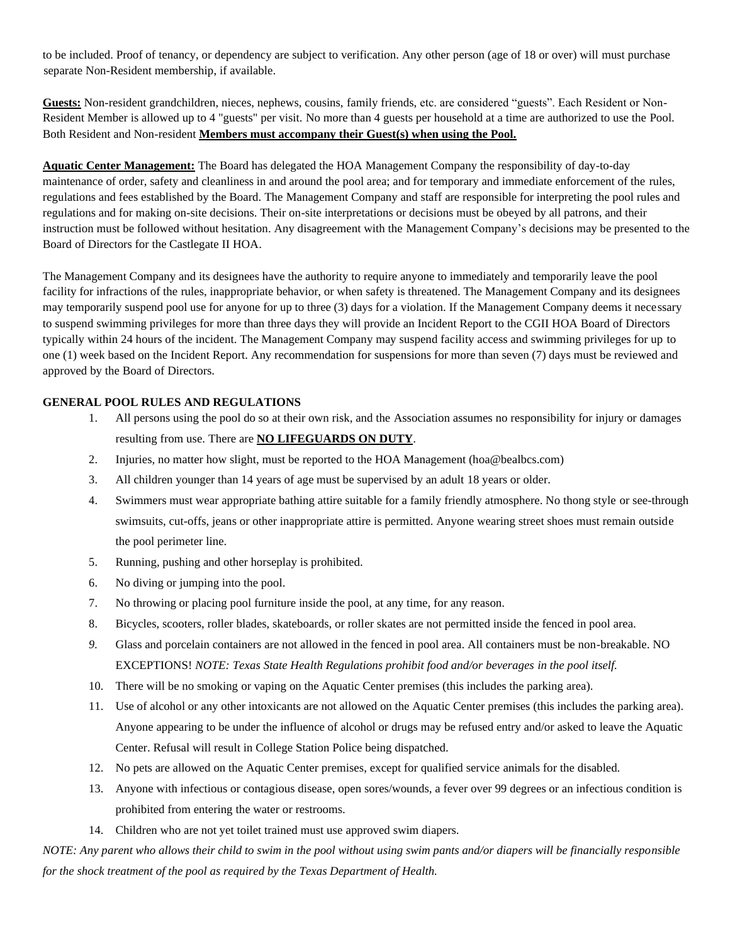to be included. Proof of tenancy, or dependency are subject to verification. Any other person (age of 18 or over) will must purchase separate Non-Resident membership, if available.

**Guests:** Non-resident grandchildren, nieces, nephews, cousins, family friends, etc. are considered "guests". Each Resident or Non-Resident Member is allowed up to 4 "guests" per visit. No more than 4 guests per household at a time are authorized to use the Pool. Both Resident and Non-resident **Members must accompany their Guest(s) when using the Pool.**

**Aquatic Center Management:** The Board has delegated the HOA Management Company the responsibility of day-to-day maintenance of order, safety and cleanliness in and around the pool area; and for temporary and immediate enforcement of the rules, regulations and fees established by the Board. The Management Company and staff are responsible for interpreting the pool rules and regulations and for making on-site decisions. Their on-site interpretations or decisions must be obeyed by all patrons, and their instruction must be followed without hesitation. Any disagreement with the Management Company's decisions may be presented to the Board of Directors for the Castlegate II HOA.

The Management Company and its designees have the authority to require anyone to immediately and temporarily leave the pool facility for infractions of the rules, inappropriate behavior, or when safety is threatened. The Management Company and its designees may temporarily suspend pool use for anyone for up to three (3) days for a violation. If the Management Company deems it necessary to suspend swimming privileges for more than three days they will provide an Incident Report to the CGII HOA Board of Directors typically within 24 hours of the incident. The Management Company may suspend facility access and swimming privileges for up to one (1) week based on the Incident Report. Any recommendation for suspensions for more than seven (7) days must be reviewed and approved by the Board of Directors.

#### **GENERAL POOL RULES AND REGULATIONS**

- 1. All persons using the pool do so at their own risk, and the Association assumes no responsibility for injury or damages resulting from use. There are **NO LIFEGUARDS ON DUTY**.
- 2. Injuries, no matter how slight, must be reported to the HOA Management (hoa@bealbcs.com)
- 3. All children younger than 14 years of age must be supervised by an adult 18 years or older.
- 4. Swimmers must wear appropriate bathing attire suitable for a family friendly atmosphere. No thong style or see-through swimsuits, cut-offs, jeans or other inappropriate attire is permitted. Anyone wearing street shoes must remain outside the pool perimeter line.
- 5. Running, pushing and other horseplay is prohibited.
- 6. No diving or jumping into the pool.
- 7. No throwing or placing pool furniture inside the pool, at any time, for any reason.
- 8. Bicycles, scooters, roller blades, skateboards, or roller skates are not permitted inside the fenced in pool area.
- *9.* Glass and porcelain containers are not allowed in the fenced in pool area. All containers must be non-breakable. NO EXCEPTIONS! *NOTE: Texas State Health Regulations prohibit food and/or beverages in the pool itself.*
- 10. There will be no smoking or vaping on the Aquatic Center premises (this includes the parking area).
- 11. Use of alcohol or any other intoxicants are not allowed on the Aquatic Center premises (this includes the parking area). Anyone appearing to be under the influence of alcohol or drugs may be refused entry and/or asked to leave the Aquatic Center. Refusal will result in College Station Police being dispatched.
- 12. No pets are allowed on the Aquatic Center premises, except for qualified service animals for the disabled.
- 13. Anyone with infectious or contagious disease, open sores/wounds, a fever over 99 degrees or an infectious condition is prohibited from entering the water or restrooms.
- 14. Children who are not yet toilet trained must use approved swim diapers.

*NOTE: Any parent who allows their child to swim in the pool without using swim pants and/or diapers will be financially responsible for the shock treatment of the pool as required by the Texas Department of Health.*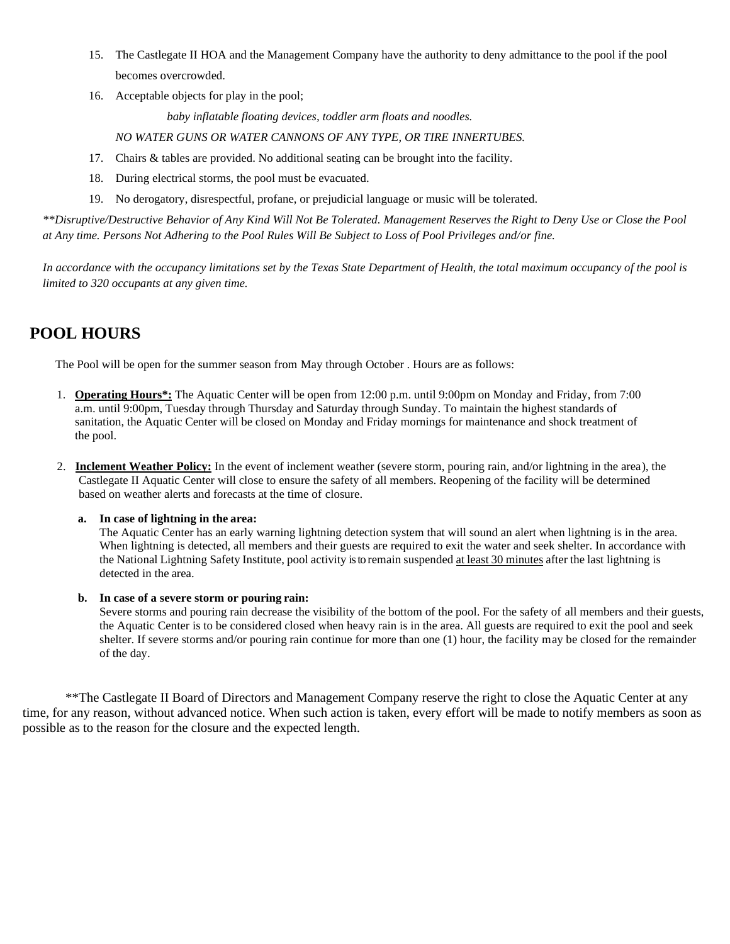- 15. The Castlegate II HOA and the Management Company have the authority to deny admittance to the pool if the pool becomes overcrowded.
- 16. Acceptable objects for play in the pool;

 *baby inflatable floating devices, toddler arm floats and noodles.*

*NO WATER GUNS OR WATER CANNONS OF ANY TYPE, OR TIRE INNERTUBES.* 

- 17. Chairs & tables are provided. No additional seating can be brought into the facility.
- 18. During electrical storms, the pool must be evacuated.
- 19. No derogatory, disrespectful, profane, or prejudicial language or music will be tolerated.

*\*\*Disruptive/Destructive Behavior of Any Kind Will Not Be Tolerated. Management Reserves the Right to Deny Use or Close the Pool at Any time. Persons Not Adhering to the Pool Rules Will Be Subject to Loss of Pool Privileges and/or fine.* 

*In accordance with the occupancy limitations set by the Texas State Department of Health, the total maximum occupancy of the pool is limited to 320 occupants at any given time.*

### **POOL HOURS**

The Pool will be open for the summer season from May through October . Hours are as follows:

- 1. **Operating Hours\*:** The Aquatic Center will be open from 12:00 p.m. until 9:00pm on Monday and Friday, from 7:00 a.m. until 9:00pm, Tuesday through Thursday and Saturday through Sunday. To maintain the highest standards of sanitation, the Aquatic Center will be closed on Monday and Friday mornings for maintenance and shock treatment of the pool.
- 2. **Inclement Weather Policy:** In the event of inclement weather (severe storm, pouring rain, and/or lightning in the area), the Castlegate II Aquatic Center will close to ensure the safety of all members. Reopening of the facility will be determined based on weather alerts and forecasts at the time of closure.

#### **a. In case of lightning in the area:**

The Aquatic Center has an early warning lightning detection system that will sound an alert when lightning is in the area. When lightning is detected, all members and their guests are required to exit the water and seek shelter. In accordance with the National Lightning Safety Institute, pool activity is to remain suspended at least 30 minutes after the last lightning is detected in the area.

#### **b. In case of a severe storm or pouring rain:**

Severe storms and pouring rain decrease the visibility of the bottom of the pool. For the safety of all members and their guests, the Aquatic Center is to be considered closed when heavy rain is in the area. All guests are required to exit the pool and seek shelter. If severe storms and/or pouring rain continue for more than one (1) hour, the facility may be closed for the remainder of the day.

\*\*The Castlegate II Board of Directors and Management Company reserve the right to close the Aquatic Center at any time, for any reason, without advanced notice. When such action is taken, every effort will be made to notify members as soon as possible as to the reason for the closure and the expected length.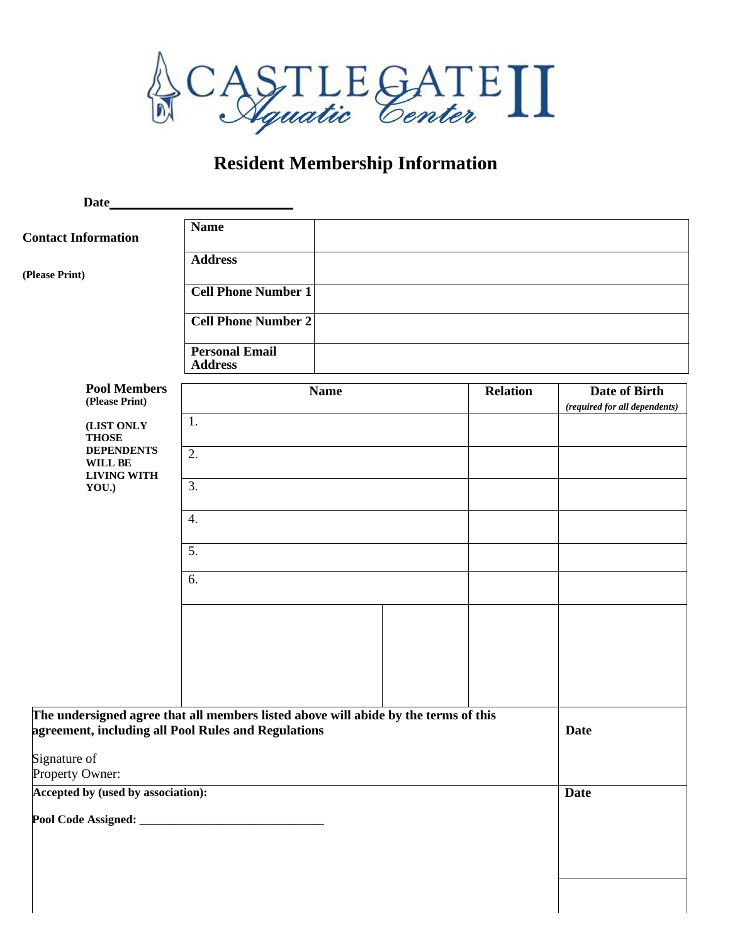

# **Resident Membership Information**

| Date                                                                                                                                       |                                         |                 |                                                |
|--------------------------------------------------------------------------------------------------------------------------------------------|-----------------------------------------|-----------------|------------------------------------------------|
| <b>Contact Information</b>                                                                                                                 | <b>Name</b>                             |                 |                                                |
| (Please Print)                                                                                                                             | <b>Address</b>                          |                 |                                                |
|                                                                                                                                            | <b>Cell Phone Number 1</b>              |                 |                                                |
|                                                                                                                                            | <b>Cell Phone Number 2</b>              |                 |                                                |
|                                                                                                                                            | <b>Personal Email</b><br><b>Address</b> |                 |                                                |
| <b>Pool Members</b><br>(Please Print)                                                                                                      | <b>Name</b>                             | <b>Relation</b> | Date of Birth<br>(required for all dependents) |
| (LIST ONLY<br><b>THOSE</b>                                                                                                                 | 1.                                      |                 |                                                |
| <b>DEPENDENTS</b><br>WILL BE                                                                                                               | 2.                                      |                 |                                                |
| <b>LIVING WITH</b><br>YOU.)                                                                                                                | 3.                                      |                 |                                                |
|                                                                                                                                            | 4.                                      |                 |                                                |
|                                                                                                                                            | 5.                                      |                 |                                                |
|                                                                                                                                            | 6.                                      |                 |                                                |
|                                                                                                                                            |                                         |                 |                                                |
|                                                                                                                                            |                                         |                 |                                                |
|                                                                                                                                            |                                         |                 |                                                |
|                                                                                                                                            |                                         |                 |                                                |
| The undersigned agree that all members listed above will abide by the terms of this<br>agreement, including all Pool Rules and Regulations |                                         |                 | Date                                           |
| Signature of<br>Property Owner:                                                                                                            |                                         |                 |                                                |
| Accepted by (used by association):                                                                                                         |                                         |                 | <b>Date</b>                                    |
|                                                                                                                                            |                                         |                 |                                                |
|                                                                                                                                            |                                         |                 |                                                |
|                                                                                                                                            |                                         |                 |                                                |
|                                                                                                                                            |                                         |                 |                                                |